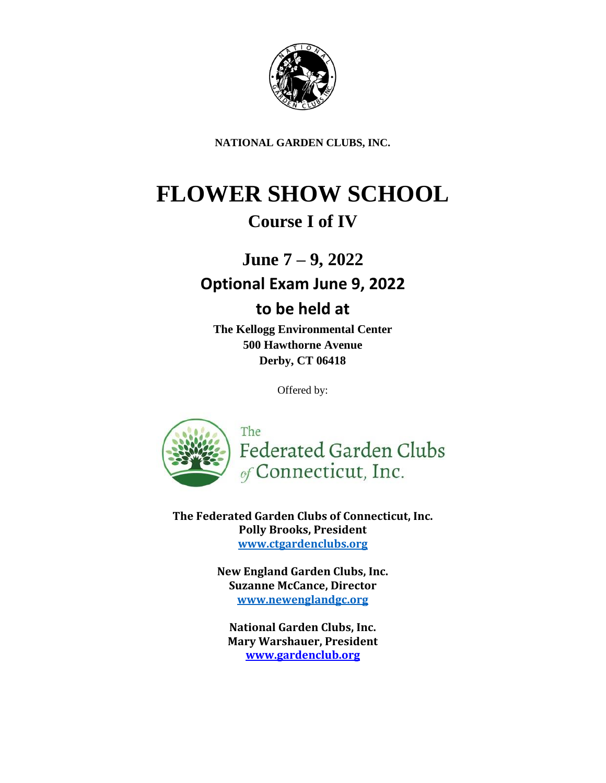

**NATIONAL GARDEN CLUBS, INC.**

# **FLOWER SHOW SCHOOL**

# **Course I of IV**

**June 7 – 9, 2022**

# **Optional Exam June 9, 2022**

## **to be held at**

**The Kellogg Environmental Center 500 Hawthorne Avenue Derby, CT 06418**

Offered by:



**The Federated Garden Clubs of Connecticut, Inc. Polly Brooks, President [www.ctgardenclubs.org](https://ctgardenclubs.org/)**

> **New England Garden Clubs, Inc. Suzanne McCance, Director [www.newenglandgc.org](http://www.newengland/)**

**National Garden Clubs, Inc. Mary Warshauer, President [www.gardenclub.org](https://gardenclub.org/)**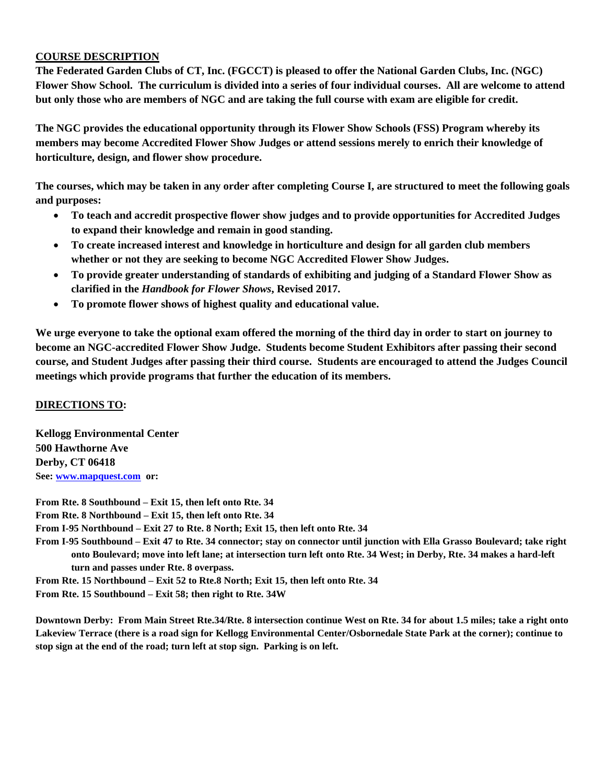#### **COURSE DESCRIPTION**

**The Federated Garden Clubs of CT, Inc. (FGCCT) is pleased to offer the National Garden Clubs, Inc. (NGC) Flower Show School. The curriculum is divided into a series of four individual courses. All are welcome to attend but only those who are members of NGC and are taking the full course with exam are eligible for credit.**

**The NGC provides the educational opportunity through its Flower Show Schools (FSS) Program whereby its members may become Accredited Flower Show Judges or attend sessions merely to enrich their knowledge of horticulture, design, and flower show procedure.**

**The courses, which may be taken in any order after completing Course I, are structured to meet the following goals and purposes:**

- **To teach and accredit prospective flower show judges and to provide opportunities for Accredited Judges to expand their knowledge and remain in good standing.**
- **To create increased interest and knowledge in horticulture and design for all garden club members whether or not they are seeking to become NGC Accredited Flower Show Judges.**
- **To provide greater understanding of standards of exhibiting and judging of a Standard Flower Show as clarified in the** *Handbook for Flower Shows***, Revised 2017.**
- **To promote flower shows of highest quality and educational value.**

**We urge everyone to take the optional exam offered the morning of the third day in order to start on journey to become an NGC-accredited Flower Show Judge. Students become Student Exhibitors after passing their second course, and Student Judges after passing their third course. Students are encouraged to attend the Judges Council meetings which provide programs that further the education of its members.** 

#### **DIRECTIONS TO:**

**Kellogg Environmental Center 500 Hawthorne Ave Derby, CT 06418 See: [www.mapquest.com](http://www.mapquest.com/) or:** 

**From Rte. 8 Southbound – Exit 15, then left onto Rte. 34 From Rte. 8 Northbound – Exit 15, then left onto Rte. 34 From I-95 Northbound – Exit 27 to Rte. 8 North; Exit 15, then left onto Rte. 34 From I-95 Southbound – Exit 47 to Rte. 34 connector; stay on connector until junction with Ella Grasso Boulevard; take right onto Boulevard; move into left lane; at intersection turn left onto Rte. 34 West; in Derby, Rte. 34 makes a hard-left turn and passes under Rte. 8 overpass. From Rte. 15 Northbound – Exit 52 to Rte.8 North; Exit 15, then left onto Rte. 34**

**From Rte. 15 Southbound – Exit 58; then right to Rte. 34W**

**Downtown Derby: From Main Street Rte.34/Rte. 8 intersection continue West on Rte. 34 for about 1.5 miles; take a right onto Lakeview Terrace (there is a road sign for Kellogg Environmental Center/Osbornedale State Park at the corner); continue to stop sign at the end of the road; turn left at stop sign. Parking is on left.**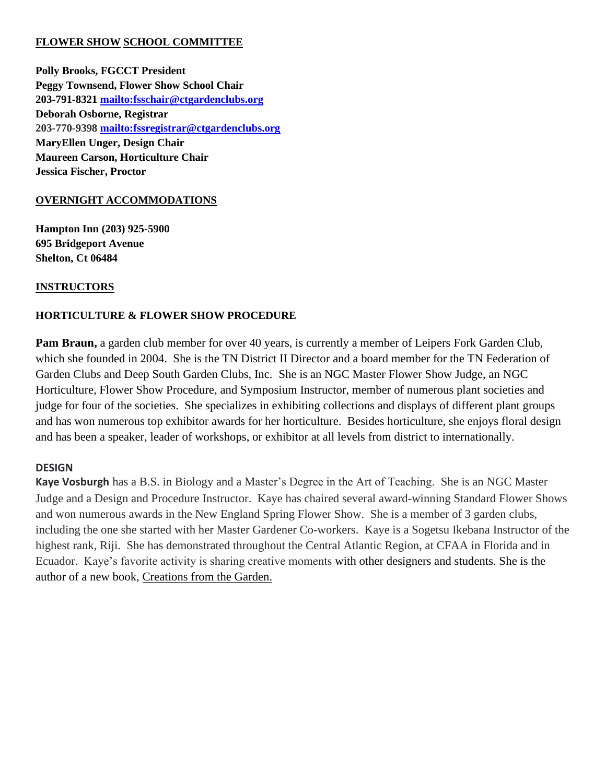#### **FLOWER SHOW SCHOOL COMMITTEE**

**Polly Brooks, FGCCT President Peggy Townsend, Flower Show School Chair 203-791-8321<mailto:fsschair@ctgardenclubs.org> Deborah Osborne, Registrar 203-770-9398 <mailto:fssregistrar@ctgardenclubs.org> MaryEllen Unger, Design Chair Maureen Carson, Horticulture Chair Jessica Fischer, Proctor**

### **OVERNIGHT ACCOMMODATIONS**

**Hampton Inn (203) 925-5900 695 Bridgeport Avenue Shelton, Ct 06484**

#### **INSTRUCTORS**

### **HORTICULTURE & FLOWER SHOW PROCEDURE**

**Pam Braun,** a garden club member for over 40 years, is currently a member of Leipers Fork Garden Club, which she founded in 2004. She is the TN District II Director and a board member for the TN Federation of Garden Clubs and Deep South Garden Clubs, Inc. She is an NGC Master Flower Show Judge, an NGC Horticulture, Flower Show Procedure, and Symposium Instructor, member of numerous plant societies and judge for four of the societies. She specializes in exhibiting collections and displays of different plant groups and has won numerous top exhibitor awards for her horticulture. Besides horticulture, she enjoys floral design and has been a speaker, leader of workshops, or exhibitor at all levels from district to internationally.

#### **DESIGN**

**Kaye Vosburgh** has a B.S. in Biology and a Master's Degree in the Art of Teaching. She is an NGC Master Judge and a Design and Procedure Instructor. Kaye has chaired several award-winning Standard Flower Shows and won numerous awards in the New England Spring Flower Show. She is a member of 3 garden clubs, including the one she started with her Master Gardener Co-workers. Kaye is a Sogetsu Ikebana Instructor of the highest rank, Riji. She has demonstrated throughout the Central Atlantic Region, at CFAA in Florida and in Ecuador. Kaye's favorite activity is sharing creative moments with other designers and students. She is the author of a new book, Creations from the Garden.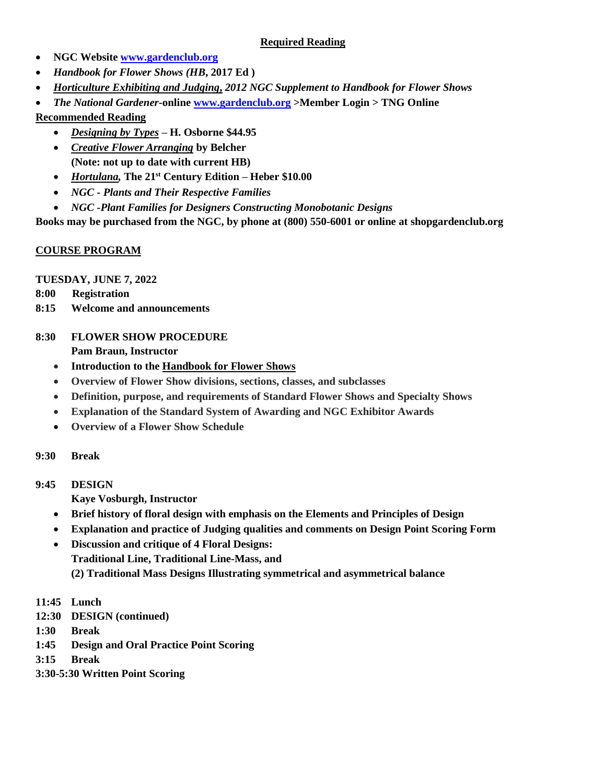#### **Required Reading**

- **NGC Website [www.gardenclub.org](http://www.gardenclub.org/)**
- *Handbook for Flower Shows (HB***, 2017 Ed )**
- *Horticulture Exhibiting and Judging***,** *2012 NGC Supplement to Handbook for Flower Shows*
- *The National Gardener***-online [www.gardenclub.org](http://www.gardenclub.org/) [>Member Login > TNG Online](http://www.gardenclub.org/securemember/tng-online.aspx)**

### **Recommended Reading**

- *Designing by Types* **– H. Osborne \$44.95**
- *Creative Flower Arranging* **by Belcher (Note: not up to date with current HB)**
- *Hortulana,* **The 21st Century Edition – Heber \$10.00**
- *NGC - Plants and Their Respective Families*
- *NGC -Plant Families for Designers Constructing Monobotanic Designs*

**Books may be purchased from the NGC, by phone at (800) 550-6001 or online at shopgardenclub.org**

### **COURSE PROGRAM**

**TUESDAY, JUNE 7, 2022**

- **8:00 Registration**
- **8:15 Welcome and announcements**

### **8:30 FLOWER SHOW PROCEDURE**

**Pam Braun, Instructor**

- **Introduction to the Handbook for Flower Shows**
- **Overview of Flower Show divisions, sections, classes, and subclasses**
- **Definition, purpose, and requirements of Standard Flower Shows and Specialty Shows**
- **Explanation of the Standard System of Awarding and NGC Exhibitor Awards**
- **Overview of a Flower Show Schedule**

#### **9:30 Break**

**9:45 DESIGN**

**Kaye Vosburgh, Instructor**

- **Brief history of floral design with emphasis on the Elements and Principles of Design**
- **Explanation and practice of Judging qualities and comments on Design Point Scoring Form**
- **Discussion and critique of 4 Floral Designs: Traditional Line, Traditional Line-Mass, and (2) Traditional Mass Designs Illustrating symmetrical and asymmetrical balance**
- **11:45 Lunch**
- **12:30 DESIGN (continued)**
- **1:30 Break**
- **1:45 Design and Oral Practice Point Scoring**
- **3:15 Break**
- **3:30-5:30 Written Point Scoring**